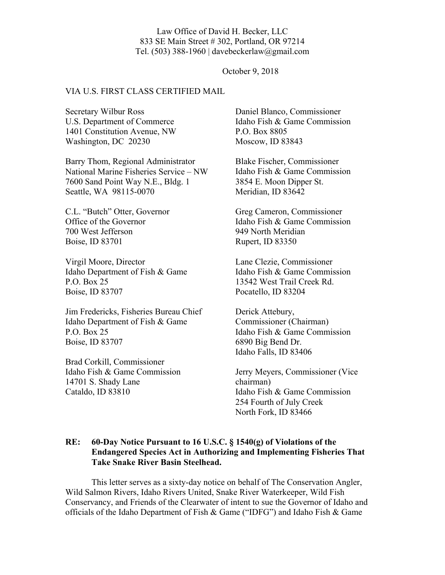### Law Office of David H. Becker, LLC 833 SE Main Street # 302, Portland, OR 97214 Tel. (503) 388-1960 | davebeckerlaw@gmail.com

### October 9, 2018

### VIA U.S. FIRST CLASS CERTIFIED MAIL

Secretary Wilbur Ross U.S. Department of Commerce 1401 Constitution Avenue, NW Washington, DC 20230

Barry Thom, Regional Administrator National Marine Fisheries Service – NW 7600 Sand Point Way N.E., Bldg. 1 Seattle, WA 98115-0070

C.L. "Butch" Otter, Governor Office of the Governor 700 West Jefferson Boise, ID 83701

Virgil Moore, Director Idaho Department of Fish & Game P.O. Box 25 Boise, ID 83707

Jim Fredericks, Fisheries Bureau Chief Idaho Department of Fish & Game P.O. Box 25 Boise, ID 83707

Brad Corkill, Commissioner Idaho Fish & Game Commission 14701 S. Shady Lane Cataldo, ID 83810

Daniel Blanco, Commissioner Idaho Fish & Game Commission P.O. Box 8805 Moscow, ID 83843

Blake Fischer, Commissioner Idaho Fish & Game Commission 3854 E. Moon Dipper St. Meridian, ID 83642

Greg Cameron, Commissioner Idaho Fish & Game Commission 949 North Meridian Rupert, ID 83350

Lane Clezie, Commissioner Idaho Fish & Game Commission 13542 West Trail Creek Rd. Pocatello, ID 83204

Derick Attebury, Commissioner (Chairman) Idaho Fish & Game Commission 6890 Big Bend Dr. Idaho Falls, ID 83406

Jerry Meyers, Commissioner (Vice chairman) Idaho Fish & Game Commission 254 Fourth of July Creek North Fork, ID 83466

## **RE: 60-Day Notice Pursuant to 16 U.S.C. § 1540(g) of Violations of the Endangered Species Act in Authorizing and Implementing Fisheries That Take Snake River Basin Steelhead.**

This letter serves as a sixty-day notice on behalf of The Conservation Angler, Wild Salmon Rivers, Idaho Rivers United, Snake River Waterkeeper, Wild Fish Conservancy, and Friends of the Clearwater of intent to sue the Governor of Idaho and officials of the Idaho Department of Fish & Game ("IDFG") and Idaho Fish & Game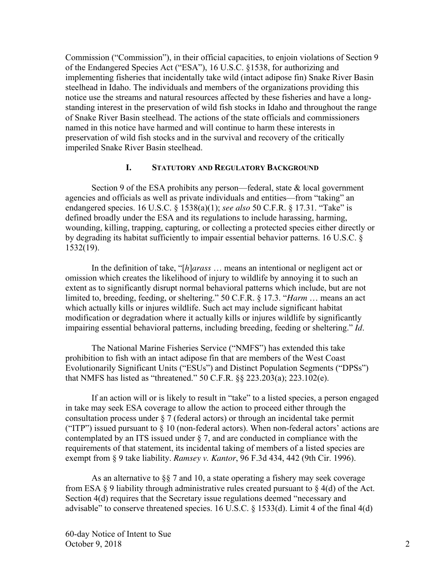Commission ("Commission"), in their official capacities, to enjoin violations of Section 9 of the Endangered Species Act ("ESA"), 16 U.S.C. §1538, for authorizing and implementing fisheries that incidentally take wild (intact adipose fin) Snake River Basin steelhead in Idaho. The individuals and members of the organizations providing this notice use the streams and natural resources affected by these fisheries and have a longstanding interest in the preservation of wild fish stocks in Idaho and throughout the range of Snake River Basin steelhead. The actions of the state officials and commissioners named in this notice have harmed and will continue to harm these interests in preservation of wild fish stocks and in the survival and recovery of the critically imperiled Snake River Basin steelhead.

# **I. STATUTORY AND REGULATORY BACKGROUND**

Section 9 of the ESA prohibits any person—federal, state & local government agencies and officials as well as private individuals and entities—from "taking" an endangered species. 16 U.S.C. § 1538(a)(1); *see also* 50 C.F.R. § 17.31. "Take" is defined broadly under the ESA and its regulations to include harassing, harming, wounding, killing, trapping, capturing, or collecting a protected species either directly or by degrading its habitat sufficiently to impair essential behavior patterns. 16 U.S.C. § 1532(19).

In the definition of take, "[*h*]*arass* … means an intentional or negligent act or omission which creates the likelihood of injury to wildlife by annoying it to such an extent as to significantly disrupt normal behavioral patterns which include, but are not limited to, breeding, feeding, or sheltering." 50 C.F.R. § 17.3. "*Harm* … means an act which actually kills or injures wildlife. Such act may include significant habitat modification or degradation where it actually kills or injures wildlife by significantly impairing essential behavioral patterns, including breeding, feeding or sheltering." *Id*.

The National Marine Fisheries Service ("NMFS") has extended this take prohibition to fish with an intact adipose fin that are members of the West Coast Evolutionarily Significant Units ("ESUs") and Distinct Population Segments ("DPSs") that NMFS has listed as "threatened." 50 C.F.R. §§ 223.203(a); 223.102(e).

If an action will or is likely to result in "take" to a listed species, a person engaged in take may seek ESA coverage to allow the action to proceed either through the consultation process under § 7 (federal actors) or through an incidental take permit ("ITP") issued pursuant to  $\S 10$  (non-federal actors). When non-federal actors' actions are contemplated by an ITS issued under  $\S 7$ , and are conducted in compliance with the requirements of that statement, its incidental taking of members of a listed species are exempt from § 9 take liability. *Ramsey v. Kantor*, 96 F.3d 434, 442 (9th Cir. 1996).

As an alternative to  $\S$  7 and 10, a state operating a fishery may seek coverage from ESA  $\S$  9 liability through administrative rules created pursuant to  $\S$  4(d) of the Act. Section 4(d) requires that the Secretary issue regulations deemed "necessary and advisable" to conserve threatened species. 16 U.S.C. § 1533(d). Limit 4 of the final 4(d)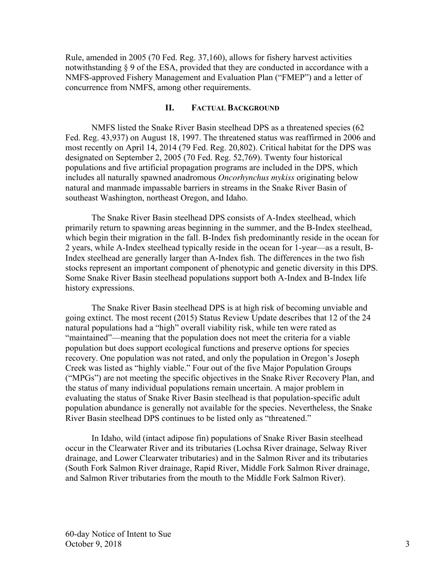Rule, amended in 2005 (70 Fed. Reg. 37,160), allows for fishery harvest activities notwithstanding § 9 of the ESA, provided that they are conducted in accordance with a NMFS-approved Fishery Management and Evaluation Plan ("FMEP") and a letter of concurrence from NMFS, among other requirements.

# **II. FACTUAL BACKGROUND**

NMFS listed the Snake River Basin steelhead DPS as a threatened species (62 Fed. Reg. 43,937) on August 18, 1997. The threatened status was reaffirmed in 2006 and most recently on April 14, 2014 (79 Fed. Reg. 20,802). Critical habitat for the DPS was designated on September 2, 2005 (70 Fed. Reg. 52,769). Twenty four historical populations and five artificial propagation programs are included in the DPS, which includes all naturally spawned anadromous *Oncorhynchus mykiss* originating below natural and manmade impassable barriers in streams in the Snake River Basin of southeast Washington, northeast Oregon, and Idaho.

The Snake River Basin steelhead DPS consists of A-Index steelhead, which primarily return to spawning areas beginning in the summer, and the B-Index steelhead, which begin their migration in the fall. B-Index fish predominantly reside in the ocean for 2 years, while A-Index steelhead typically reside in the ocean for 1-year—as a result, B-Index steelhead are generally larger than A-Index fish. The differences in the two fish stocks represent an important component of phenotypic and genetic diversity in this DPS. Some Snake River Basin steelhead populations support both A-Index and B-Index life history expressions.

The Snake River Basin steelhead DPS is at high risk of becoming unviable and going extinct. The most recent (2015) Status Review Update describes that 12 of the 24 natural populations had a "high" overall viability risk, while ten were rated as "maintained"—meaning that the population does not meet the criteria for a viable population but does support ecological functions and preserve options for species recovery. One population was not rated, and only the population in Oregon's Joseph Creek was listed as "highly viable." Four out of the five Major Population Groups ("MPGs") are not meeting the specific objectives in the Snake River Recovery Plan, and the status of many individual populations remain uncertain. A major problem in evaluating the status of Snake River Basin steelhead is that population-specific adult population abundance is generally not available for the species. Nevertheless, the Snake River Basin steelhead DPS continues to be listed only as "threatened."

In Idaho, wild (intact adipose fin) populations of Snake River Basin steelhead occur in the Clearwater River and its tributaries (Lochsa River drainage, Selway River drainage, and Lower Clearwater tributaries) and in the Salmon River and its tributaries (South Fork Salmon River drainage, Rapid River, Middle Fork Salmon River drainage, and Salmon River tributaries from the mouth to the Middle Fork Salmon River).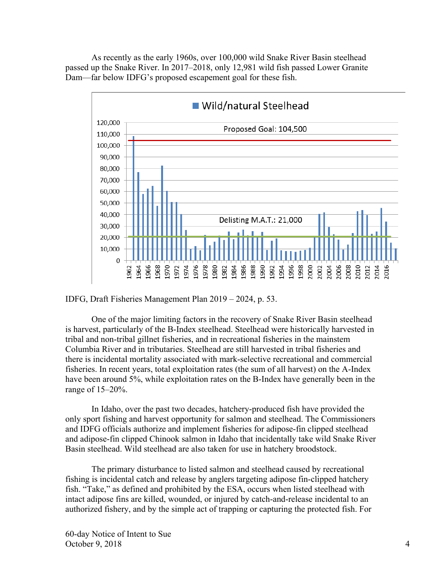As recently as the early 1960s, over 100,000 wild Snake River Basin steelhead passed up the Snake River. In 2017–2018, only 12,981 wild fish passed Lower Granite Dam—far below IDFG's proposed escapement goal for these fish.



IDFG, Draft Fisheries Management Plan 2019 – 2024, p. 53.

One of the major limiting factors in the recovery of Snake River Basin steelhead is harvest, particularly of the B-Index steelhead. Steelhead were historically harvested in tribal and non-tribal gillnet fisheries, and in recreational fisheries in the mainstem Columbia River and in tributaries. Steelhead are still harvested in tribal fisheries and there is incidental mortality associated with mark-selective recreational and commercial fisheries. In recent years, total exploitation rates (the sum of all harvest) on the A-Index have been around 5%, while exploitation rates on the B-Index have generally been in the range of 15–20%.

In Idaho, over the past two decades, hatchery-produced fish have provided the only sport fishing and harvest opportunity for salmon and steelhead. The Commissioners and IDFG officials authorize and implement fisheries for adipose-fin clipped steelhead and adipose-fin clipped Chinook salmon in Idaho that incidentally take wild Snake River Basin steelhead. Wild steelhead are also taken for use in hatchery broodstock.

The primary disturbance to listed salmon and steelhead caused by recreational fishing is incidental catch and release by anglers targeting adipose fin-clipped hatchery fish. "Take," as defined and prohibited by the ESA, occurs when listed steelhead with intact adipose fins are killed, wounded, or injured by catch-and-release incidental to an authorized fishery, and by the simple act of trapping or capturing the protected fish. For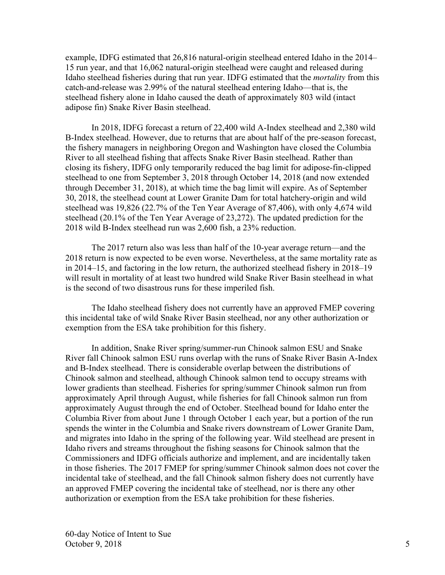example, IDFG estimated that 26,816 natural-origin steelhead entered Idaho in the 2014– 15 run year, and that 16,062 natural-origin steelhead were caught and released during Idaho steelhead fisheries during that run year. IDFG estimated that the *mortality* from this catch-and-release was 2.99% of the natural steelhead entering Idaho—that is, the steelhead fishery alone in Idaho caused the death of approximately 803 wild (intact adipose fin) Snake River Basin steelhead.

In 2018, IDFG forecast a return of 22,400 wild A-Index steelhead and 2,380 wild B-Index steelhead. However, due to returns that are about half of the pre-season forecast, the fishery managers in neighboring Oregon and Washington have closed the Columbia River to all steelhead fishing that affects Snake River Basin steelhead. Rather than closing its fishery, IDFG only temporarily reduced the bag limit for adipose-fin-clipped steelhead to one from September 3, 2018 through October 14, 2018 (and now extended through December 31, 2018), at which time the bag limit will expire. As of September 30, 2018, the steelhead count at Lower Granite Dam for total hatchery-origin and wild steelhead was 19,826 (22.7% of the Ten Year Average of 87,406), with only 4,674 wild steelhead (20.1% of the Ten Year Average of 23,272). The updated prediction for the 2018 wild B-Index steelhead run was 2,600 fish, a 23% reduction.

The 2017 return also was less than half of the 10-year average return—and the 2018 return is now expected to be even worse. Nevertheless, at the same mortality rate as in 2014–15, and factoring in the low return, the authorized steelhead fishery in 2018–19 will result in mortality of at least two hundred wild Snake River Basin steelhead in what is the second of two disastrous runs for these imperiled fish.

The Idaho steelhead fishery does not currently have an approved FMEP covering this incidental take of wild Snake River Basin steelhead, nor any other authorization or exemption from the ESA take prohibition for this fishery.

In addition, Snake River spring/summer-run Chinook salmon ESU and Snake River fall Chinook salmon ESU runs overlap with the runs of Snake River Basin A-Index and B-Index steelhead. There is considerable overlap between the distributions of Chinook salmon and steelhead, although Chinook salmon tend to occupy streams with lower gradients than steelhead. Fisheries for spring/summer Chinook salmon run from approximately April through August, while fisheries for fall Chinook salmon run from approximately August through the end of October. Steelhead bound for Idaho enter the Columbia River from about June 1 through October 1 each year, but a portion of the run spends the winter in the Columbia and Snake rivers downstream of Lower Granite Dam, and migrates into Idaho in the spring of the following year. Wild steelhead are present in Idaho rivers and streams throughout the fishing seasons for Chinook salmon that the Commissioners and IDFG officials authorize and implement, and are incidentally taken in those fisheries. The 2017 FMEP for spring/summer Chinook salmon does not cover the incidental take of steelhead, and the fall Chinook salmon fishery does not currently have an approved FMEP covering the incidental take of steelhead, nor is there any other authorization or exemption from the ESA take prohibition for these fisheries.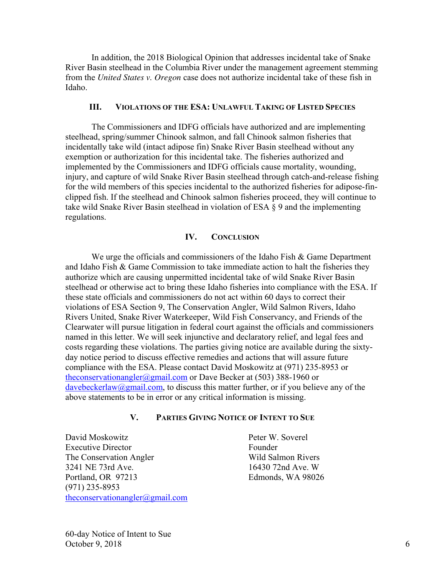In addition, the 2018 Biological Opinion that addresses incidental take of Snake River Basin steelhead in the Columbia River under the management agreement stemming from the *United States v. Oregon* case does not authorize incidental take of these fish in Idaho.

### **III. VIOLATIONS OF THE ESA: UNLAWFUL TAKING OF LISTED SPECIES**

The Commissioners and IDFG officials have authorized and are implementing steelhead, spring/summer Chinook salmon, and fall Chinook salmon fisheries that incidentally take wild (intact adipose fin) Snake River Basin steelhead without any exemption or authorization for this incidental take. The fisheries authorized and implemented by the Commissioners and IDFG officials cause mortality, wounding, injury, and capture of wild Snake River Basin steelhead through catch-and-release fishing for the wild members of this species incidental to the authorized fisheries for adipose-finclipped fish. If the steelhead and Chinook salmon fisheries proceed, they will continue to take wild Snake River Basin steelhead in violation of ESA § 9 and the implementing regulations.

### **IV. CONCLUSION**

We urge the officials and commissioners of the Idaho Fish & Game Department and Idaho Fish  $\&$  Game Commission to take immediate action to halt the fisheries they authorize which are causing unpermitted incidental take of wild Snake River Basin steelhead or otherwise act to bring these Idaho fisheries into compliance with the ESA. If these state officials and commissioners do not act within 60 days to correct their violations of ESA Section 9, The Conservation Angler, Wild Salmon Rivers, Idaho Rivers United, Snake River Waterkeeper, Wild Fish Conservancy, and Friends of the Clearwater will pursue litigation in federal court against the officials and commissioners named in this letter. We will seek injunctive and declaratory relief, and legal fees and costs regarding these violations. The parties giving notice are available during the sixtyday notice period to discuss effective remedies and actions that will assure future compliance with the ESA. Please contact David Moskowitz at (971) 235-8953 or theconservationangler@gmail.com or Dave Becker at (503) 388-1960 or davebeckerlaw@gmail.com, to discuss this matter further, or if you believe any of the above statements to be in error or any critical information is missing.

# **V. PARTIES GIVING NOTICE OF INTENT TO SUE**

David Moskowitz Peter W. Soverel Executive Director Founder The Conservation Angler Wild Salmon Rivers 3241 NE 73rd Ave. 16430 72nd Ave. W Portland, OR 97213 Edmonds, WA 98026 (971) 235-8953 theconservationangler@gmail.com

60-day Notice of Intent to Sue October 9, 2018  $\qquad \qquad 6$